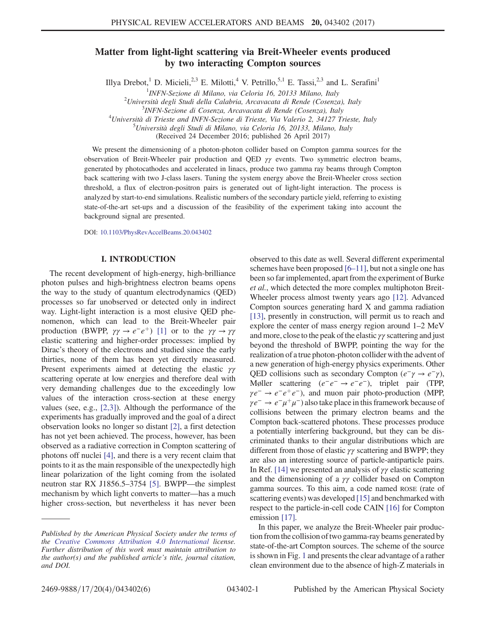# Matter from light-light scattering via Breit-Wheeler events produced by two interacting Compton sources

Illya Drebot,<sup>1</sup> D. Micieli,<sup>2,3</sup> E. Milotti,<sup>4</sup> V. Petrillo,<sup>5,1</sup> E. Tassi,<sup>2,3</sup> and L. Serafini<sup>1</sup>

<sup>1</sup>INFN-Sezione di Milano, via Celoria 16, 20133 Milano, Italy<br><sup>2</sup>Università degli Studi della Calchria, Angguesata di Bende (Cosenza

 $^{4}$ Università di Trieste and INFN-Sezione di Trieste, Via Valerio 2, 34127 Trieste, Italy

 ${}^{5}$ Università degli Studi di Milano, via Celoria 16, 20133, Milano, Italy

(Received 24 December 2016; published 26 April 2017)

We present the dimensioning of a photon-photon collider based on Compton gamma sources for the observation of Breit-Wheeler pair production and QED  $\gamma\gamma$  events. Two symmetric electron beams, generated by photocathodes and accelerated in linacs, produce two gamma ray beams through Compton back scattering with two J-class lasers. Tuning the system energy above the Breit-Wheeler cross section threshold, a flux of electron-positron pairs is generated out of light-light interaction. The process is analyzed by start-to-end simulations. Realistic numbers of the secondary particle yield, referring to existing state-of-the-art set-ups and a discussion of the feasibility of the experiment taking into account the background signal are presented.

DOI: [10.1103/PhysRevAccelBeams.20.043402](https://doi.org/10.1103/PhysRevAccelBeams.20.043402)

### I. INTRODUCTION

The recent development of high-energy, high-brilliance photon pulses and high-brightness electron beams opens the way to the study of quantum electrodynamics (QED) processes so far unobserved or detected only in indirect way. Light-light interaction is a most elusive QED phenomenon, which can lead to the Breit-Wheeler pair production (BWPP,  $\gamma \gamma \rightarrow e^-e^+$ ) [\[1\]](#page-4-0) or to the  $\gamma \gamma \rightarrow \gamma \gamma$ elastic scattering and higher-order processes: implied by Dirac's theory of the electrons and studied since the early thirties, none of them has been yet directly measured. Present experiments aimed at detecting the elastic γγ scattering operate at low energies and therefore deal with very demanding challenges due to the exceedingly low values of the interaction cross-section at these energy values (see, e.g., [\[2,3\]](#page-4-1)). Although the performance of the experiments has gradually improved and the goal of a direct observation looks no longer so distant [\[2\],](#page-4-1) a first detection has not yet been achieved. The process, however, has been observed as a radiative correction in Compton scattering of photons off nuclei [\[4\],](#page-4-2) and there is a very recent claim that points to it as the main responsible of the unexpectedly high linear polarization of the light coming from the isolated neutron star RX J1856.5–3754 [\[5\]](#page-4-3). BWPP—the simplest mechanism by which light converts to matter—has a much higher cross-section, but nevertheless it has never been

observed to this date as well. Several different experimental schemes have been proposed [6–[11\],](#page-4-4) but not a single one has been so far implemented, apart from the experiment of Burke et al., which detected the more complex multiphoton Breit-Wheeler process almost twenty years ago [\[12\].](#page-5-0) Advanced Compton sources generating hard X and gamma radiation [\[13\]](#page-5-1), presently in construction, will permit us to reach and explore the center of mass energy region around 1–2 MeV and more, close to the peak of the elastic  $\gamma\gamma$  scattering and just beyond the threshold of BWPP, pointing the way for the realization of a true photon-photon collider with the advent of a new generation of high-energy physics experiments. Other QED collisions such as secondary Compton  $(e^-\gamma \to e^-\gamma)$ , Møller scattering  $(e^-e^- \rightarrow e^-e^-)$ , triplet pair (TPP,  $\gamma e^- \rightarrow e^-e^+e^-$ ), and muon pair photo-production (MPP,  $\gamma e^- \rightarrow e^- \mu^+ \mu^-$ ) also take place in this framework because of collisions between the primary electron beams and the Compton back-scattered photons. These processes produce a potentially interfering background, but they can be discriminated thanks to their angular distributions which are different from those of elastic  $\gamma\gamma$  scattering and BWPP; they are also an interesting source of particle-antiparticle pairs. In Ref. [\[14\]](#page-5-2) we presented an analysis of  $\gamma\gamma$  elastic scattering and the dimensioning of a γγ collider based on Compton gamma sources. To this aim, a code named ROSE (rate of scattering events) was developed [\[15\]](#page-5-3) and benchmarked with respect to the particle-in-cell code CAIN [\[16\]](#page-5-4) for Compton emission [\[17\].](#page-5-5)

In this paper, we analyze the Breit-Wheeler pair production from the collision of two gamma-ray beams generated by state-of-the-art Compton sources. The scheme of the source is shown in Fig. [1](#page-1-0) and presents the clear advantage of a rather clean environment due to the absence of high-Z materials in

 $^{2}$ Università degli Studi della Calabria, Arcavacata di Rende (Cosenza), Italy

<sup>&</sup>lt;sup>3</sup>INFN-Sezione di Cosenza, Arcavacata di Rende (Cosenza), Italy

Published by the American Physical Society under the terms of the [Creative Commons Attribution 4.0 International](https://creativecommons.org/licenses/by/4.0/) license. Further distribution of this work must maintain attribution to the author(s) and the published article's title, journal citation, and DOI.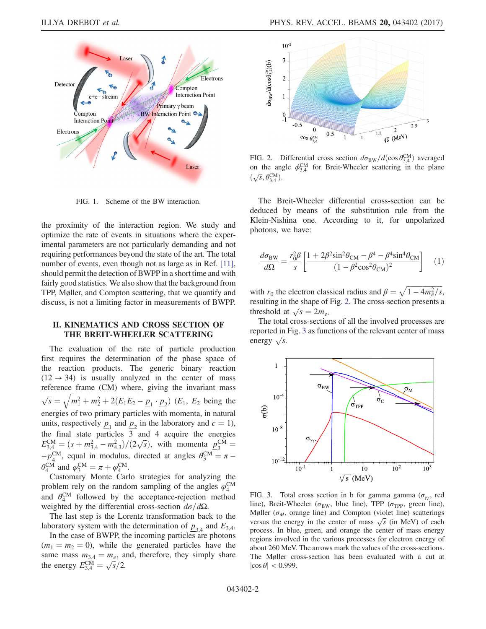<span id="page-1-0"></span>

FIG. 1. Scheme of the BW interaction.

the proximity of the interaction region. We study and optimize the rate of events in situations where the experimental parameters are not particularly demanding and not requiring performances beyond the state of the art. The total number of events, even though not as large as in Ref. [\[11\]](#page-5-6), should permit the detection of BWPP in a short time and with fairly good statistics. We also show that the background from TPP, Møller, and Compton scattering, that we quantify and discuss, is not a limiting factor in measurements of BWPP.

## II. KINEMATICS AND CROSS SECTION OF THE BREIT-WHEELER SCATTERING

The evaluation of the rate of particle production first requires the determination of the phase space of the reaction products. The generic binary reaction  $(12 \rightarrow 34)$  is usually analyzed in the center of mass reference frame (CM) where, giving the invariant mass  $\sqrt{s} = \sqrt{m_1^2 + m_2^2 + 2(E_1E_2 - p_1 \cdot p_2)}$  (*E*<sub>1</sub>, *E*<sub>2</sub> being the energies of two primary particles with momenta, in natural units, respectively  $p_1$  and  $p_2$  in the laboratory and  $c = 1$ ), the final state particles  $\overline{3}^2$  and 4 acquire the energies the final state particles 3 and 4 acquire the energies<br>  $E_{3,4}^{\text{CM}} = (s + m_{3,4}^2 - m_{4,3}^2)/(2\sqrt{s})$ , with momenta  $p_3^{\text{CM}} =$  $-\underline{p}_4^{\text{CM}}$ , equal in modulus, directed at angles  $\theta_3^{\text{CM}} = \pi \theta_4^{\text{CM}}$  and  $\varphi_3^{\text{CM}} = \pi + \varphi_4^{\text{CM}}$ .

Customary Monte Carlo strategies for analyzing the problem rely on the random sampling of the angles  $\varphi_4^{\text{CM}}$ and  $\theta_4^{\text{CM}}$  followed by the acceptance-rejection method weighted by the differential cross-section  $d\sigma/d\Omega$ .

The last step is the Lorentz transformation back to the laboratory system with the determination of  $p_{3,4}$  and  $E_{3,4}$ .

In the case of BWPP, the incoming particles are photons  $(m_1 = m_2 = 0)$ , while the generated particles have the same mass  $m_{3,4} = m_e$ , and, therefore, they simply share same mass  $m_{3,4} = m_e$ , a<br>the energy  $E_{3,4}^{\text{CM}} = \sqrt{s/2}$ .

<span id="page-1-1"></span>

FIG. 2. Differential cross section  $d\sigma_{BW}/d(\cos \theta_{3,4}^{CM})$  averaged on the angle  $\phi_{3,4}^{\text{CM}}$  for Breit-Wheeler scattering in the plane on the ang<br> $(\sqrt{s}, \theta_{3,4}^{\text{CM}}).$ 

The Breit-Wheeler differential cross-section can be deduced by means of the substitution rule from the Klein-Nishina one. According to it, for unpolarized photons, we have:

$$
\frac{d\sigma_{\text{BW}}}{d\Omega} = \frac{r_0^2 \beta}{s} \left[ \frac{1 + 2\beta^2 \sin^2 \theta_{\text{CM}} - \beta^4 - \beta^4 \sin^4 \theta_{\text{CM}}}{(1 - \beta^2 \cos^2 \theta_{\text{CM}})^2} \right] \tag{1}
$$

with  $r_0$  the electron classical radius and  $\beta = \sqrt{1 - 4m_e^2/s}$ , resulting in the shape of Fig. [2.](#page-1-1) The cross-section presents a resulting in the shape of<br>threshold at  $\sqrt{s} = 2m_e$ .

The total cross-sections of all the involved processes are reported in Fig. [3](#page-1-2) as functions of the relevant center of mass reported in<br>energy  $\sqrt{s}$ .

<span id="page-1-2"></span>

FIG. 3. Total cross section in b for gamma gamma ( $\sigma_{\gamma\gamma}$ , red line), Breit-Wheeler ( $\sigma_{BW}$ , blue line), TPP ( $\sigma_{TPP}$ , green line), Møller ( $\sigma_M$ , orange line) and Compton (violet line) scatterings Møller ( $\sigma_M$ , orange line) and Compton (violet line) scatterings<br>versus the energy in the center of mass  $\sqrt{s}$  (in MeV) of each process. In blue, green, and orange the center of mass energy regions involved in the various processes for electron energy of about 260 MeV. The arrows mark the values of the cross-sections. The Møller cross-section has been evaluated with a cut at  $|\cos \theta|$  < 0.999.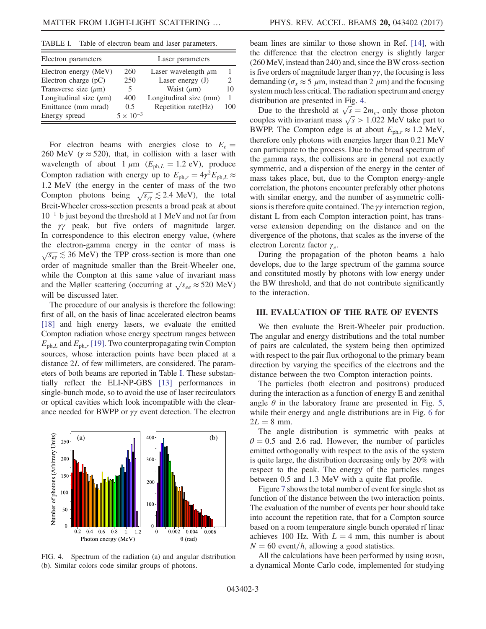<span id="page-2-0"></span>TABLE I. Table of electron beam and laser parameters.

| Electron parameters         |                    | Laser parameters         |     |
|-----------------------------|--------------------|--------------------------|-----|
| Electron energy (MeV)       | 260                | Laser wavelength $\mu$ m |     |
| Electron charge $(pC)$      | 250                | Laser energy $(J)$       |     |
| Transverse size $(\mu m)$   | 5                  | Waist $(\mu m)$          | 10  |
| Longitudinal size $(\mu m)$ | 400                | Longitudinal size (mm)   | 1   |
| Emittance (mm mrad)         | 0.5                | Repetition rate(Hz)      | 100 |
| Energy spread               | $5 \times 10^{-3}$ |                          |     |

For electron beams with energies close to  $E_e =$ 260 MeV ( $\gamma \approx 520$ ), that, in collision with a laser with wavelength of about 1  $\mu$ m ( $E_{ph,L} = 1.2$  eV), produce Compton radiation with energy up to  $E_{ph,r} = 4\gamma^2 E_{ph,L} \approx$ 1.2 MeV (the energy in the center of mass of the two 1.2 MeV (the energy in the center of mass of the two<br>Compton photons being  $\sqrt{s_{\gamma\gamma}} \lesssim 2.4$  MeV), the total Breit-Wheeler cross-section presents a broad peak at about 10<sup>−</sup><sup>1</sup> b just beyond the threshold at 1 MeV and not far from the γγ peak, but five orders of magnitude larger. In correspondence to this electron energy value, (where the electron-gamma energy in the center of mass is  $\sqrt{s_{e\gamma}} \lesssim 36$  MeV) the TPP cross-section is more than one order of magnitude smaller than the Breit-Wheeler one, while the Compton at this same value of invariant mass while the Compton at this same value of invariant mass<br>and the Møller scattering (occurring at  $\sqrt{s_{ee}} \approx 520$  MeV) will be discussed later.

The procedure of our analysis is therefore the following: first of all, on the basis of linac accelerated electron beams [\[18\]](#page-5-7) and high energy lasers, we evaluate the emitted Compton radiation whose energy spectrum ranges between  $E_{ph,L}$  and  $E_{ph,r}$  [\[19\]](#page-5-8). Two counterpropagating twin Compton sources, whose interaction points have been placed at a distance 2L of few millimeters, are considered. The parameters of both beams are reported in Table [I](#page-2-0). These substantially reflect the ELI-NP-GBS [\[13\]](#page-5-1) performances in single-bunch mode, so to avoid the use of laser recirculators or optical cavities which look incompatible with the clearance needed for BWPP or  $\gamma\gamma$  event detection. The electron

<span id="page-2-1"></span>

FIG. 4. Spectrum of the radiation (a) and angular distribution (b). Similar colors code similar groups of photons.

beam lines are similar to those shown in Ref. [\[14\],](#page-5-2) with the difference that the electron energy is slightly larger (260 MeV, instead than 240) and, since the BW cross-section is five orders of magnitude larger than  $\gamma\gamma$ , the focusing is less demanding ( $\sigma_r \approx 5 \mu$ m, instead than 2  $\mu$ m) and the focusing system much less critical. The radiation spectrum and energy distribution are presented in Fig. [4.](#page-2-1)

stribution are presented in Fig. 4.<br>Due to the threshold at  $\sqrt{s} = 2m_e$ , only those photon Due to the threshold at  $\sqrt{s} = 2m_e$ , only those photon couples with invariant mass  $\sqrt{s} > 1.022$  MeV take part to BWPP. The Compton edge is at about  $E_{\text{ph},r} \approx 1.2 \text{ MeV}$ , therefore only photons with energies larger than 0.21 MeV can participate to the process. Due to the broad spectrum of the gamma rays, the collisions are in general not exactly symmetric, and a dispersion of the energy in the center of mass takes place, but, due to the Compton energy-angle correlation, the photons encounter preferably other photons with similar energy, and the number of asymmetric collisions is therefore quite contained. The γγ interaction region, distant L from each Compton interaction point, has transverse extension depending on the distance and on the divergence of the photons, that scales as the inverse of the electron Lorentz factor  $\gamma_e$ .

During the propagation of the photon beams a halo develops, due to the large spectrum of the gamma source and constituted mostly by photons with low energy under the BW threshold, and that do not contribute significantly to the interaction.

#### III. EVALUATION OF THE RATE OF EVENTS

We then evaluate the Breit-Wheeler pair production. The angular and energy distributions and the total number of pairs are calculated, the system being then optimized with respect to the pair flux orthogonal to the primary beam direction by varying the specifics of the electrons and the distance between the two Compton interaction points.

The particles (both electron and positrons) produced during the interaction as a function of energy E and zenithal angle  $\theta$  in the laboratory frame are presented in Fig. [5](#page-3-0), while their energy and angle distributions are in Fig. [6](#page-3-1) for  $2L = 8$  mm.

The angle distribution is symmetric with peaks at  $\theta = 0.5$  and 2.6 rad. However, the number of particles emitted orthogonally with respect to the axis of the system is quite large, the distribution decreasing only by 20% with respect to the peak. The energy of the particles ranges between 0.5 and 1.3 MeV with a quite flat profile.

Figure [7](#page-3-2) shows the total number of event for single shot as function of the distance between the two interaction points. The evaluation of the number of events per hour should take into account the repetition rate, that for a Compton source based on a room temperature single bunch operated rf linac achieves 100 Hz. With  $L = 4$  mm, this number is about  $N = 60$  event/h, allowing a good statistics.

All the calculations have been performed by using ROSE, a dynamical Monte Carlo code, implemented for studying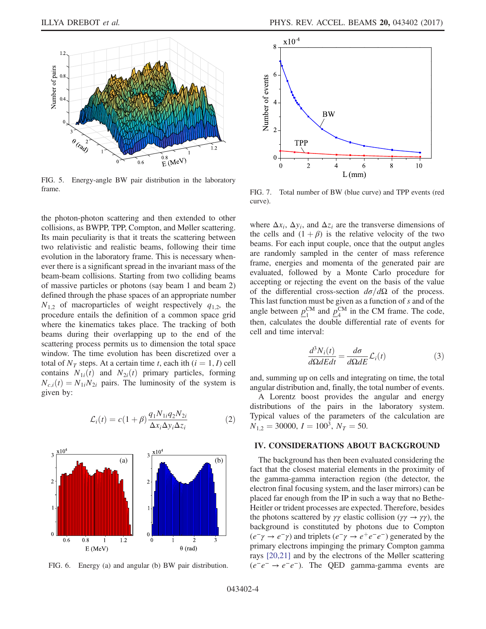<span id="page-3-0"></span>

FIG. 5. Energy-angle BW pair distribution in the laboratory frame.

the photon-photon scattering and then extended to other collisions, as BWPP, TPP, Compton, and Møller scattering. Its main peculiarity is that it treats the scattering between two relativistic and realistic beams, following their time evolution in the laboratory frame. This is necessary whenever there is a significant spread in the invariant mass of the beam-beam collisions. Starting from two colliding beams of massive particles or photons (say beam 1 and beam 2) defined through the phase spaces of an appropriate number  $N_{1,2}$  of macroparticles of weight respectively  $q_{1,2}$ , the procedure entails the definition of a common space grid where the kinematics takes place. The tracking of both beams during their overlapping up to the end of the scattering process permits us to dimension the total space window. The time evolution has been discretized over a total of  $N_T$  steps. At a certain time t, each ith  $(i = 1, I)$  cell contains  $N_{1i}(t)$  and  $N_{2i}(t)$  primary particles, forming  $N_{c,i}(t) = N_{1i}N_{2i}$  pairs. The luminosity of the system is given by:

$$
\mathcal{L}_i(t) = c(1+\beta) \frac{q_1 N_{1i} q_2 N_{2i}}{\Delta x_i \Delta y_i \Delta z_i}
$$
 (2)

<span id="page-3-1"></span>

FIG. 6. Energy (a) and angular (b) BW pair distribution.

<span id="page-3-2"></span>

FIG. 7. Total number of BW (blue curve) and TPP events (red curve).

where  $\Delta x_i$ ,  $\Delta y_i$ , and  $\Delta z_i$  are the transverse dimensions of the cells and  $(1 + \beta)$  is the relative velocity of the two beams. For each input couple, once that the output angles are randomly sampled in the center of mass reference frame, energies and momenta of the generated pair are evaluated, followed by a Monte Carlo procedure for accepting or rejecting the event on the basis of the value of the differential cross-section  $d\sigma/d\Omega$  of the process. This last function must be given as a function of s and of the angle between  $\underline{p}_1^{\text{CM}}$  and  $\underline{p}_4^{\text{CM}}$  in the CM frame. The code, then, calculates the double differential rate of events for cell and time interval:

$$
\frac{d^3N_i(t)}{d\Omega dE dt} = \frac{d\sigma}{d\Omega dE} \mathcal{L}_i(t)
$$
\n(3)

and, summing up on cells and integrating on time, the total angular distribution and, finally, the total number of events.

A Lorentz boost provides the angular and energy distributions of the pairs in the laboratory system. Typical values of the parameters of the calculation are  $N_{1,2} = 30000, I = 100^3, N_T = 50.$ 

## IV. CONSIDERATIONS ABOUT BACKGROUND

The background has then been evaluated considering the fact that the closest material elements in the proximity of the gamma-gamma interaction region (the detector, the electron final focusing system, and the laser mirrors) can be placed far enough from the IP in such a way that no Bethe-Heitler or trident processes are expected. Therefore, besides the photons scattered by  $\gamma \gamma$  elastic collision ( $\gamma \gamma \rightarrow \gamma \gamma$ ), the background is constituted by photons due to Compton  $(e^-\gamma \rightarrow e^-\gamma)$  and triplets  $(e^-\gamma \rightarrow e^+e^-e^-)$  generated by the primary electrons impinging the primary Compton gamma rays [\[20,21\]](#page-5-9) and by the electrons of the Møller scattering  $(e^-e^- \rightarrow e^-e^-)$ . The QED gamma-gamma events are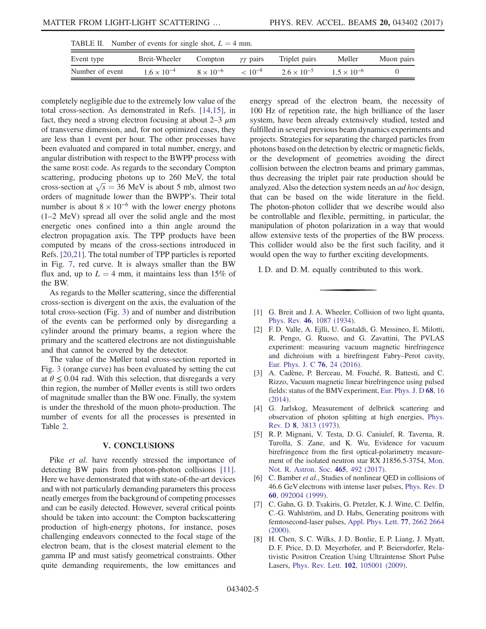<span id="page-4-5"></span>

|                 | Breit-Wheeler        |                    |                      |                      |                      |            |
|-----------------|----------------------|--------------------|----------------------|----------------------|----------------------|------------|
| Event type      |                      | Compton            | $\gamma\gamma$ pairs | Triplet pairs        | Møller               | Muon pairs |
| Number of event | $1.6 \times 10^{-4}$ | $8 \times 10^{-6}$ | $< 10^{-8}$          | $2.6 \times 10^{-5}$ | $1.5 \times 10^{-6}$ |            |

completely negligible due to the extremely low value of the total cross-section. As demonstrated in Refs. [\[14,15\],](#page-5-2) in fact, they need a strong electron focusing at about  $2-3 \mu m$ of transverse dimension, and, for not optimized cases, they are less than 1 event per hour. The other processes have been evaluated and compared in total number, energy, and angular distribution with respect to the BWPP process with the same ROSE code. As regards to the secondary Compton scattering, producing photons up to 260 MeV, the total scattering, producing photons up to 260 MeV, the total<br>cross-section at  $\sqrt{s} = 36$  MeV is about 5 mb, almost two orders of magnitude lower than the BWPP's. Their total number is about  $8 \times 10^{-6}$  with the lower energy photons (1–2 MeV) spread all over the solid angle and the most energetic ones confined into a thin angle around the electron propagation axis. The TPP products have been computed by means of the cross-sections introduced in Refs. [\[20,21\]](#page-5-9). The total number of TPP particles is reported in Fig. [7,](#page-3-2) red curve. It is always smaller than the BW flux and, up to  $L = 4$  mm, it maintains less than 15% of the BW.

As regards to the Møller scattering, since the differential cross-section is divergent on the axis, the evaluation of the total cross-section (Fig. [3](#page-1-2)) and of number and distribution of the events can be performed only by disregarding a cylinder around the primary beams, a region where the primary and the scattered electrons are not distinguishable and that cannot be covered by the detector.

The value of the Møller total cross-section reported in Fig. [3](#page-1-2) (orange curve) has been evaluated by setting the cut at  $\theta \leq 0.04$  rad. With this selection, that disregards a very thin region, the number of Møller events is still two orders of magnitude smaller than the BW one. Finally, the system is under the threshold of the muon photo-production. The number of events for all the processes is presented in Table [2.](#page-4-5)

## V. CONCLUSIONS

Pike *et al.* have recently stressed the importance of detecting BW pairs from photon-photon collisions [\[11\]](#page-5-6). Here we have demonstrated that with state-of-the-art devices and with not particularly demanding parameters this process neatly emerges from the background of competing processes and can be easily detected. However, several critical points should be taken into account: the Compton backscattering production of high-energy photons, for instance, poses challenging endeavors connected to the focal stage of the electron beam, that is the closest material element to the gamma IP and must satisfy geometrical constraints. Other quite demanding requirements, the low emittances and energy spread of the electron beam, the necessity of 100 Hz of repetition rate, the high brilliance of the laser system, have been already extensively studied, tested and fulfilled in several previous beam dynamics experiments and projects. Strategies for separating the charged particles from photons based on the detection by electric or magnetic fields, or the development of geometries avoiding the direct collision between the electron beams and primary gammas, thus decreasing the triplet pair rate production should be analyzed. Also the detection system needs an ad hoc design, that can be based on the wide literature in the field. The photon-photon collider that we describe would also be controllable and flexible, permitting, in particular, the manipulation of photon polarization in a way that would allow extensive tests of the properties of the BW process. This collider would also be the first such facility, and it would open the way to further exciting developments.

I. D. and D. M. equally contributed to this work.

- <span id="page-4-1"></span><span id="page-4-0"></span>[1] G. Breit and J. A. Wheeler, Collision of two light quanta, Phys. Rev. 46[, 1087 \(1934\).](https://doi.org/10.1103/PhysRev.46.1087)
- [2] F. D. Valle, A. Ejlli, U. Gastaldi, G. Messineo, E. Milotti, R. Pengo, G. Ruoso, and G. Zavattini, The PVLAS experiment: measuring vacuum magnetic birefringence and dichroism with a birefringent Fabry–Perot cavity, [Eur. Phys. J. C](https://doi.org/10.1140/epjc/s10052-015-3869-8) 76, 24 (2016).
- [3] A. Cadène, P. Berceau, M. Fouché, R. Battesti, and C. Rizzo, Vacuum magnetic linear birefringence using pulsed fields: status of the BMVexperiment, [Eur. Phys. J. D](https://doi.org/10.1140/epjd/e2013-40725-9) 68, 16 [\(2014\).](https://doi.org/10.1140/epjd/e2013-40725-9)
- <span id="page-4-2"></span>[4] G. Jarlskog, Measurement of delbrück scattering and observation of photon splitting at high energies, [Phys.](https://doi.org/10.1103/PhysRevD.8.3813) Rev. D 8[, 3813 \(1973\)](https://doi.org/10.1103/PhysRevD.8.3813).
- <span id="page-4-3"></span>[5] R. P. Mignani, V. Testa, D. G. Caniulef, R. Taverna, R. Turolla, S. Zane, and K. Wu, Evidence for vacuum birefringence from the first optical-polarimetry measurement of the isolated neutron star RX J1856.5-3754, [Mon.](https://doi.org/10.1093/mnras/stw2798) [Not. R. Astron. Soc.](https://doi.org/10.1093/mnras/stw2798) 465, 492 (2017).
- <span id="page-4-4"></span>[6] C. Bamber et al., Studies of nonlinear QED in collisions of 46.6 GeV electrons with intense laser pulses, [Phys. Rev. D](https://doi.org/10.1103/PhysRevD.60.092004) 60[, 092004 \(1999\).](https://doi.org/10.1103/PhysRevD.60.092004)
- [7] C. Gahn, G. D. Tsakiris, G. Pretzler, K. J. Witte, C. Delfin, C.-G. Wahlström, and D. Habs, Generating positrons with femtosecond-laser pulses, [Appl. Phys. Lett.](https://doi.org/10.1063/1.1319526) 77, 2662 2664 [\(2000\).](https://doi.org/10.1063/1.1319526)
- [8] H. Chen, S. C. Wilks, J. D. Bonlie, E. P. Liang, J. Myatt, D. F. Price, D. D. Meyerhofer, and P. Beiersdorfer, Relativistic Positron Creation Using Ultraintense Short Pulse Lasers, Phys. Rev. Lett. 102[, 105001 \(2009\).](https://doi.org/10.1103/PhysRevLett.102.105001)